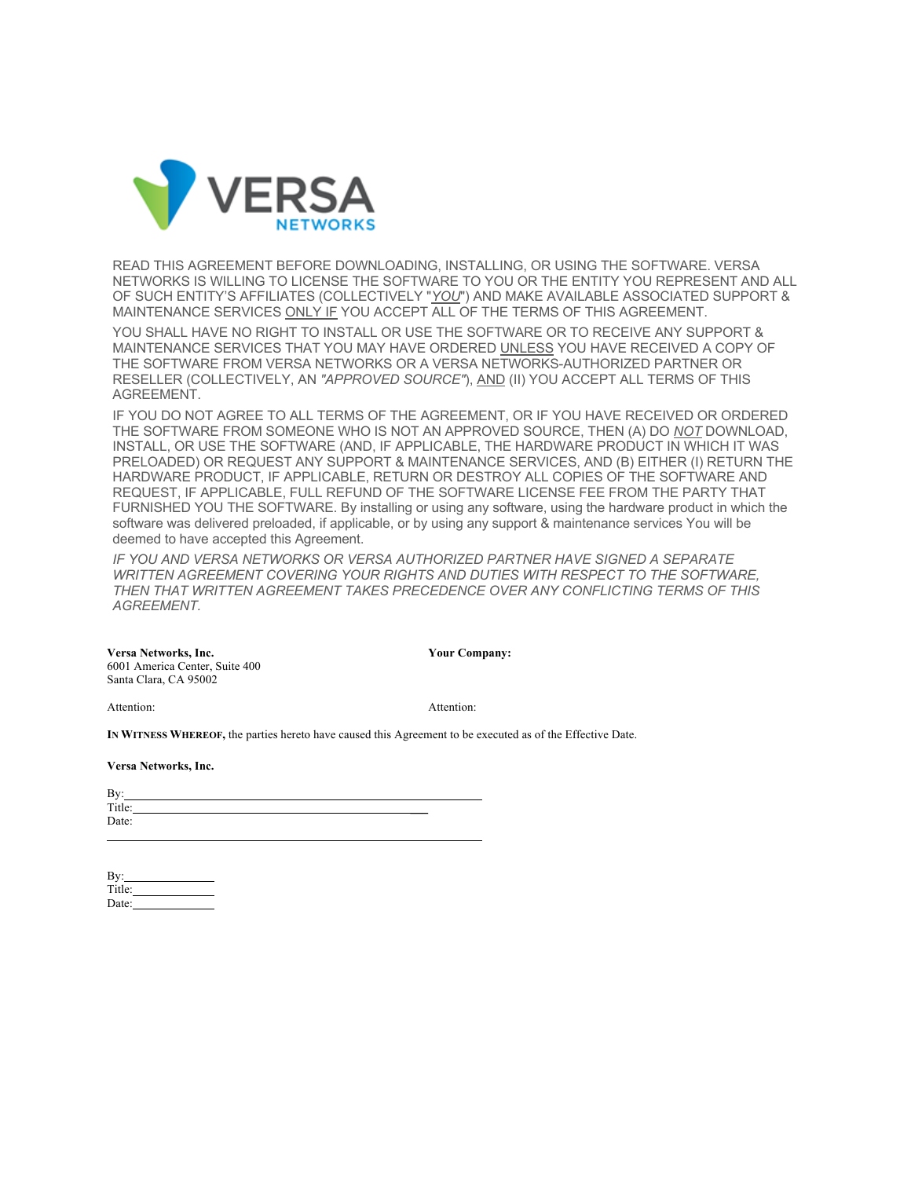

READ THIS AGREEMENT BEFORE DOWNLOADING, INSTALLING, OR USING THE SOFTWARE. VERSA NETWORKS IS WILLING TO LICENSE THE SOFTWARE TO YOU OR THE ENTITY YOU REPRESENT AND ALL OF SUCH ENTITY'S AFFILIATES (COLLECTIVELY "*YOU*") AND MAKE AVAILABLE ASSOCIATED SUPPORT & MAINTENANCE SERVICES ONLY IF YOU ACCEPT ALL OF THE TERMS OF THIS AGREEMENT.

YOU SHALL HAVE NO RIGHT TO INSTALL OR USE THE SOFTWARE OR TO RECEIVE ANY SUPPORT & MAINTENANCE SERVICES THAT YOU MAY HAVE ORDERED UNLESS YOU HAVE RECEIVED A COPY OF THE SOFTWARE FROM VERSA NETWORKS OR A VERSA NETWORKS-AUTHORIZED PARTNER OR RESELLER (COLLECTIVELY, AN *"APPROVED SOURCE"*), AND (II) YOU ACCEPT ALL TERMS OF THIS AGREEMENT.

IF YOU DO NOT AGREE TO ALL TERMS OF THE AGREEMENT, OR IF YOU HAVE RECEIVED OR ORDERED THE SOFTWARE FROM SOMEONE WHO IS NOT AN APPROVED SOURCE, THEN (A) DO *NOT* DOWNLOAD, INSTALL, OR USE THE SOFTWARE (AND, IF APPLICABLE, THE HARDWARE PRODUCT IN WHICH IT WAS PRELOADED) OR REQUEST ANY SUPPORT & MAINTENANCE SERVICES, AND (B) EITHER (I) RETURN THE HARDWARE PRODUCT, IF APPLICABLE, RETURN OR DESTROY ALL COPIES OF THE SOFTWARE AND REQUEST, IF APPLICABLE, FULL REFUND OF THE SOFTWARE LICENSE FEE FROM THE PARTY THAT FURNISHED YOU THE SOFTWARE. By installing or using any software, using the hardware product in which the software was delivered preloaded, if applicable, or by using any support & maintenance services You will be deemed to have accepted this Agreement.

*IF YOU AND VERSA NETWORKS OR VERSA AUTHORIZED PARTNER HAVE SIGNED A SEPARATE WRITTEN AGREEMENT COVERING YOUR RIGHTS AND DUTIES WITH RESPECT TO THE SOFTWARE, THEN THAT WRITTEN AGREEMENT TAKES PRECEDENCE OVER ANY CONFLICTING TERMS OF THIS AGREEMENT.*

**Versa Networks, Inc. Your Company:** 6001 America Center, Suite 400 Santa Clara, CA 95002

Attention: Attention:

**IN WITNESS WHEREOF,** the parties hereto have caused this Agreement to be executed as of the Effective Date.

**Versa Networks, Inc.**

| By:    |  |
|--------|--|
| Title: |  |
| Date:  |  |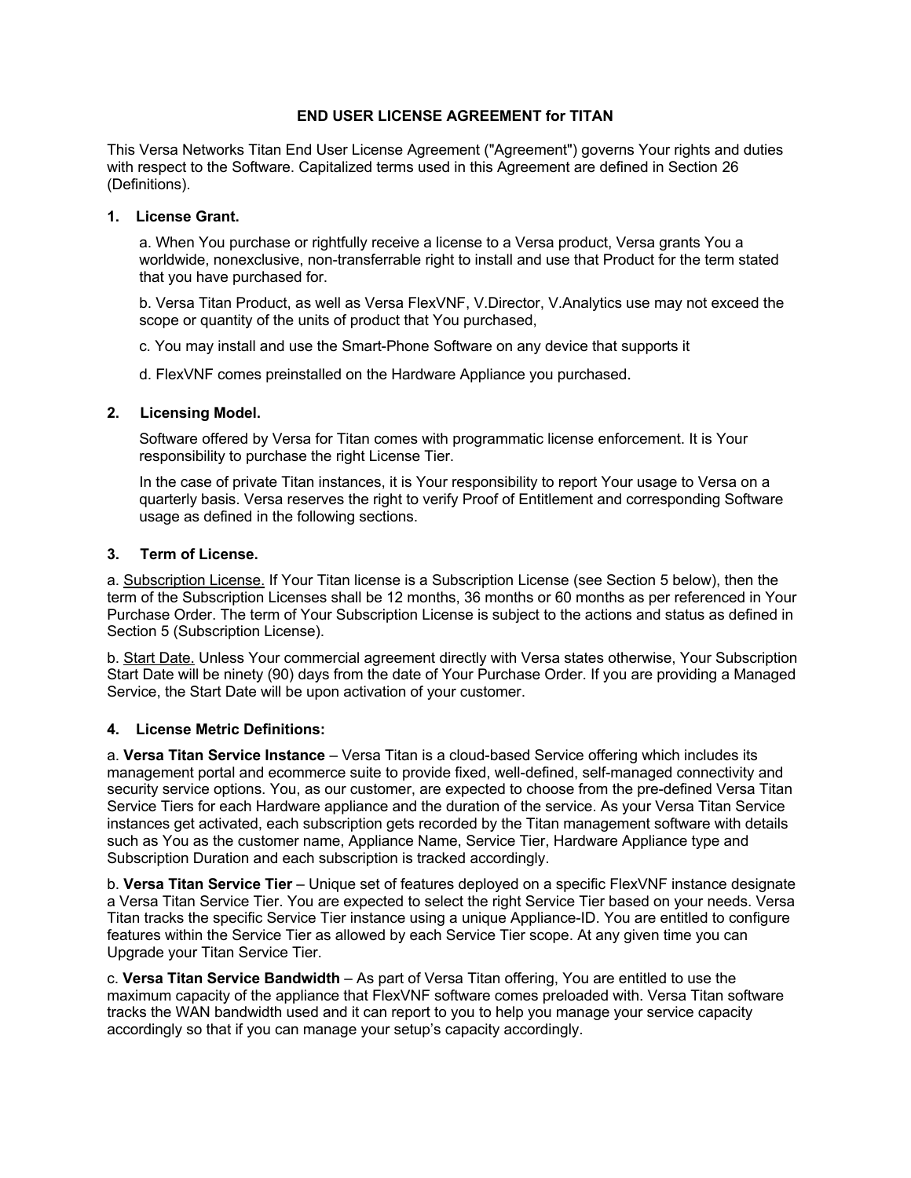# **END USER LICENSE AGREEMENT for TITAN**

This Versa Networks Titan End User License Agreement ("Agreement") governs Your rights and duties with respect to the Software. Capitalized terms used in this Agreement are defined in Section 26 (Definitions).

# **1. License Grant.**

a. When You purchase or rightfully receive a license to a Versa product, Versa grants You a worldwide, nonexclusive, non-transferrable right to install and use that Product for the term stated that you have purchased for.

b. Versa Titan Product, as well as Versa FlexVNF, V.Director, V.Analytics use may not exceed the scope or quantity of the units of product that You purchased,

c. You may install and use the Smart-Phone Software on any device that supports it

d. FlexVNF comes preinstalled on the Hardware Appliance you purchased.

# **2. Licensing Model.**

Software offered by Versa for Titan comes with programmatic license enforcement. It is Your responsibility to purchase the right License Tier.

In the case of private Titan instances, it is Your responsibility to report Your usage to Versa on a quarterly basis. Versa reserves the right to verify Proof of Entitlement and corresponding Software usage as defined in the following sections.

# **3. Term of License.**

a. Subscription License. If Your Titan license is a Subscription License (see Section 5 below), then the term of the Subscription Licenses shall be 12 months, 36 months or 60 months as per referenced in Your Purchase Order. The term of Your Subscription License is subject to the actions and status as defined in Section 5 (Subscription License).

b. Start Date. Unless Your commercial agreement directly with Versa states otherwise, Your Subscription Start Date will be ninety (90) days from the date of Your Purchase Order. If you are providing a Managed Service, the Start Date will be upon activation of your customer.

# **4. License Metric Definitions:**

a. **Versa Titan Service Instance** – Versa Titan is a cloud-based Service offering which includes its management portal and ecommerce suite to provide fixed, well-defined, self-managed connectivity and security service options. You, as our customer, are expected to choose from the pre-defined Versa Titan Service Tiers for each Hardware appliance and the duration of the service. As your Versa Titan Service instances get activated, each subscription gets recorded by the Titan management software with details such as You as the customer name, Appliance Name, Service Tier, Hardware Appliance type and Subscription Duration and each subscription is tracked accordingly.

b. **Versa Titan Service Tier** – Unique set of features deployed on a specific FlexVNF instance designate a Versa Titan Service Tier. You are expected to select the right Service Tier based on your needs. Versa Titan tracks the specific Service Tier instance using a unique Appliance-ID. You are entitled to configure features within the Service Tier as allowed by each Service Tier scope. At any given time you can Upgrade your Titan Service Tier.

c. **Versa Titan Service Bandwidth** – As part of Versa Titan offering, You are entitled to use the maximum capacity of the appliance that FlexVNF software comes preloaded with. Versa Titan software tracks the WAN bandwidth used and it can report to you to help you manage your service capacity accordingly so that if you can manage your setup's capacity accordingly.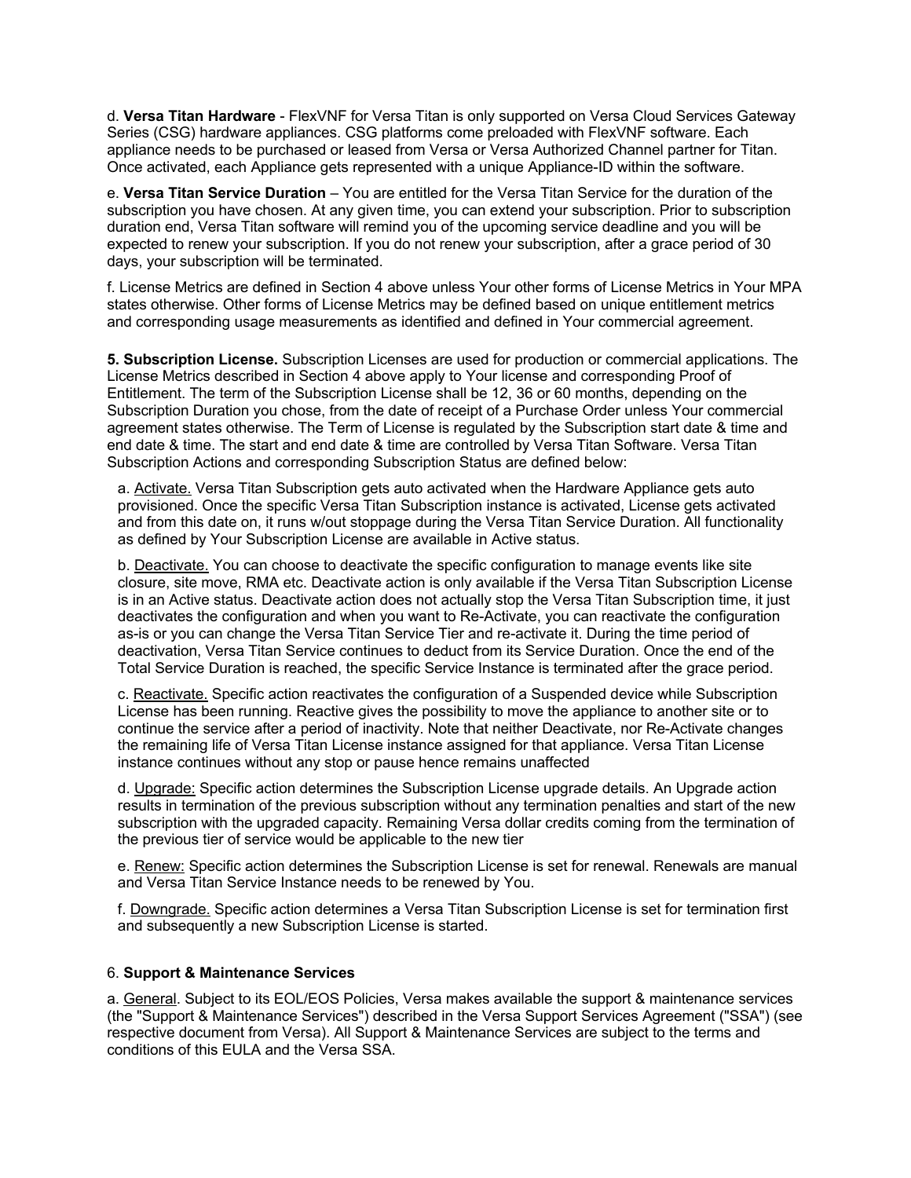d. **Versa Titan Hardware** - FlexVNF for Versa Titan is only supported on Versa Cloud Services Gateway Series (CSG) hardware appliances. CSG platforms come preloaded with FlexVNF software. Each appliance needs to be purchased or leased from Versa or Versa Authorized Channel partner for Titan. Once activated, each Appliance gets represented with a unique Appliance-ID within the software.

e. **Versa Titan Service Duration** – You are entitled for the Versa Titan Service for the duration of the subscription you have chosen. At any given time, you can extend your subscription. Prior to subscription duration end, Versa Titan software will remind you of the upcoming service deadline and you will be expected to renew your subscription. If you do not renew your subscription, after a grace period of 30 days, your subscription will be terminated.

f. License Metrics are defined in Section 4 above unless Your other forms of License Metrics in Your MPA states otherwise. Other forms of License Metrics may be defined based on unique entitlement metrics and corresponding usage measurements as identified and defined in Your commercial agreement.

**5. Subscription License.** Subscription Licenses are used for production or commercial applications. The License Metrics described in Section 4 above apply to Your license and corresponding Proof of Entitlement. The term of the Subscription License shall be 12, 36 or 60 months, depending on the Subscription Duration you chose, from the date of receipt of a Purchase Order unless Your commercial agreement states otherwise. The Term of License is regulated by the Subscription start date & time and end date & time. The start and end date & time are controlled by Versa Titan Software. Versa Titan Subscription Actions and corresponding Subscription Status are defined below:

a. Activate. Versa Titan Subscription gets auto activated when the Hardware Appliance gets auto provisioned. Once the specific Versa Titan Subscription instance is activated, License gets activated and from this date on, it runs w/out stoppage during the Versa Titan Service Duration. All functionality as defined by Your Subscription License are available in Active status.

b. Deactivate. You can choose to deactivate the specific configuration to manage events like site closure, site move, RMA etc. Deactivate action is only available if the Versa Titan Subscription License is in an Active status. Deactivate action does not actually stop the Versa Titan Subscription time, it just deactivates the configuration and when you want to Re-Activate, you can reactivate the configuration as-is or you can change the Versa Titan Service Tier and re-activate it. During the time period of deactivation, Versa Titan Service continues to deduct from its Service Duration. Once the end of the Total Service Duration is reached, the specific Service Instance is terminated after the grace period.

c. Reactivate. Specific action reactivates the configuration of a Suspended device while Subscription License has been running. Reactive gives the possibility to move the appliance to another site or to continue the service after a period of inactivity. Note that neither Deactivate, nor Re-Activate changes the remaining life of Versa Titan License instance assigned for that appliance. Versa Titan License instance continues without any stop or pause hence remains unaffected

d. Upgrade: Specific action determines the Subscription License upgrade details. An Upgrade action results in termination of the previous subscription without any termination penalties and start of the new subscription with the upgraded capacity. Remaining Versa dollar credits coming from the termination of the previous tier of service would be applicable to the new tier

e. Renew: Specific action determines the Subscription License is set for renewal. Renewals are manual and Versa Titan Service Instance needs to be renewed by You.

f. Downgrade. Specific action determines a Versa Titan Subscription License is set for termination first and subsequently a new Subscription License is started.

### 6. **Support & Maintenance Services**

a. General. Subject to its EOL/EOS Policies, Versa makes available the support & maintenance services (the "Support & Maintenance Services") described in the Versa Support Services Agreement ("SSA") (see respective document from Versa). All Support & Maintenance Services are subject to the terms and conditions of this EULA and the Versa SSA.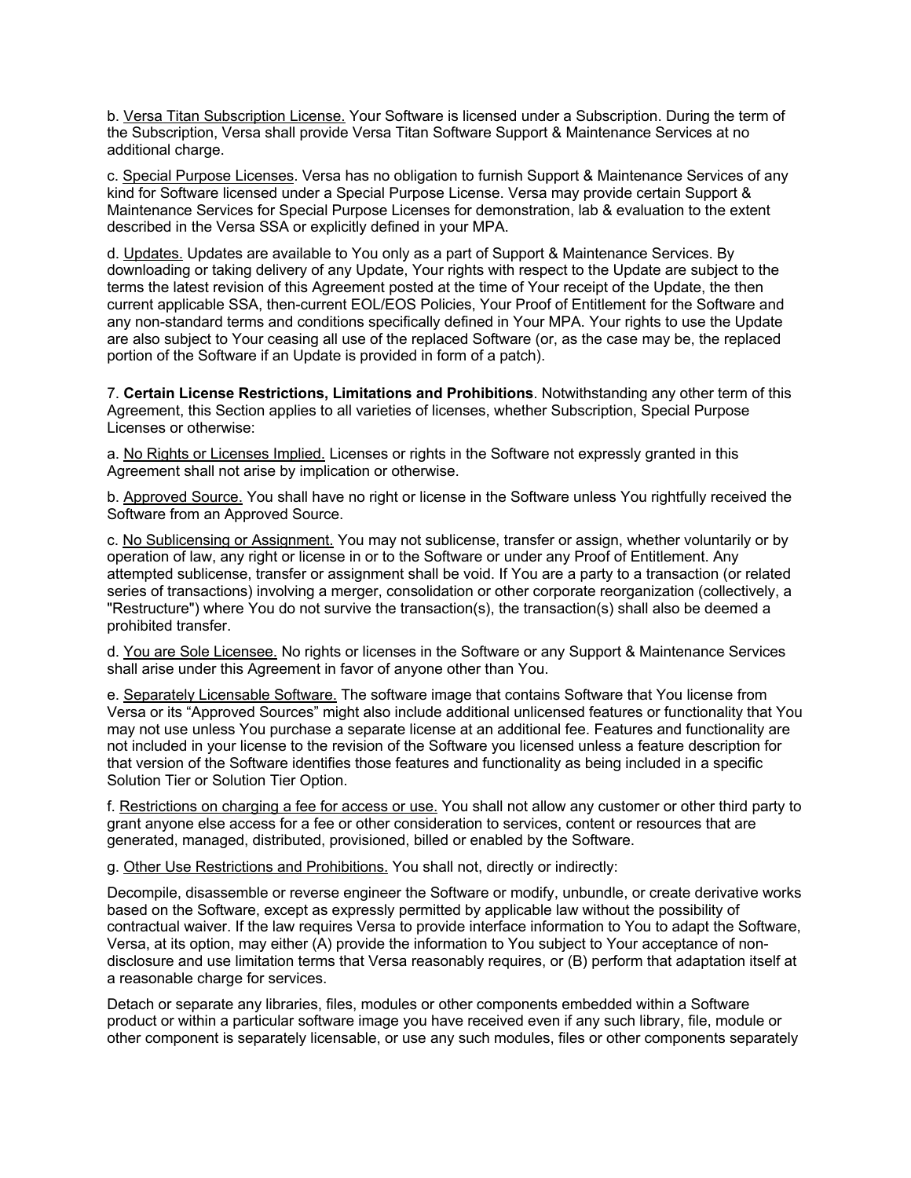b. Versa Titan Subscription License. Your Software is licensed under a Subscription. During the term of the Subscription, Versa shall provide Versa Titan Software Support & Maintenance Services at no additional charge.

c. Special Purpose Licenses. Versa has no obligation to furnish Support & Maintenance Services of any kind for Software licensed under a Special Purpose License. Versa may provide certain Support & Maintenance Services for Special Purpose Licenses for demonstration, lab & evaluation to the extent described in the Versa SSA or explicitly defined in your MPA.

d. Updates. Updates are available to You only as a part of Support & Maintenance Services. By downloading or taking delivery of any Update, Your rights with respect to the Update are subject to the terms the latest revision of this Agreement posted at the time of Your receipt of the Update, the then current applicable SSA, then-current EOL/EOS Policies, Your Proof of Entitlement for the Software and any non-standard terms and conditions specifically defined in Your MPA. Your rights to use the Update are also subject to Your ceasing all use of the replaced Software (or, as the case may be, the replaced portion of the Software if an Update is provided in form of a patch).

7. **Certain License Restrictions, Limitations and Prohibitions**. Notwithstanding any other term of this Agreement, this Section applies to all varieties of licenses, whether Subscription, Special Purpose Licenses or otherwise:

a. No Rights or Licenses Implied. Licenses or rights in the Software not expressly granted in this Agreement shall not arise by implication or otherwise.

b. Approved Source. You shall have no right or license in the Software unless You rightfully received the Software from an Approved Source.

c. No Sublicensing or Assignment. You may not sublicense, transfer or assign, whether voluntarily or by operation of law, any right or license in or to the Software or under any Proof of Entitlement. Any attempted sublicense, transfer or assignment shall be void. If You are a party to a transaction (or related series of transactions) involving a merger, consolidation or other corporate reorganization (collectively, a "Restructure") where You do not survive the transaction(s), the transaction(s) shall also be deemed a prohibited transfer.

d. You are Sole Licensee. No rights or licenses in the Software or any Support & Maintenance Services shall arise under this Agreement in favor of anyone other than You.

e. Separately Licensable Software. The software image that contains Software that You license from Versa or its "Approved Sources" might also include additional unlicensed features or functionality that You may not use unless You purchase a separate license at an additional fee. Features and functionality are not included in your license to the revision of the Software you licensed unless a feature description for that version of the Software identifies those features and functionality as being included in a specific Solution Tier or Solution Tier Option.

f. Restrictions on charging a fee for access or use. You shall not allow any customer or other third party to grant anyone else access for a fee or other consideration to services, content or resources that are generated, managed, distributed, provisioned, billed or enabled by the Software.

g. Other Use Restrictions and Prohibitions. You shall not, directly or indirectly:

Decompile, disassemble or reverse engineer the Software or modify, unbundle, or create derivative works based on the Software, except as expressly permitted by applicable law without the possibility of contractual waiver. If the law requires Versa to provide interface information to You to adapt the Software, Versa, at its option, may either (A) provide the information to You subject to Your acceptance of nondisclosure and use limitation terms that Versa reasonably requires, or (B) perform that adaptation itself at a reasonable charge for services.

Detach or separate any libraries, files, modules or other components embedded within a Software product or within a particular software image you have received even if any such library, file, module or other component is separately licensable, or use any such modules, files or other components separately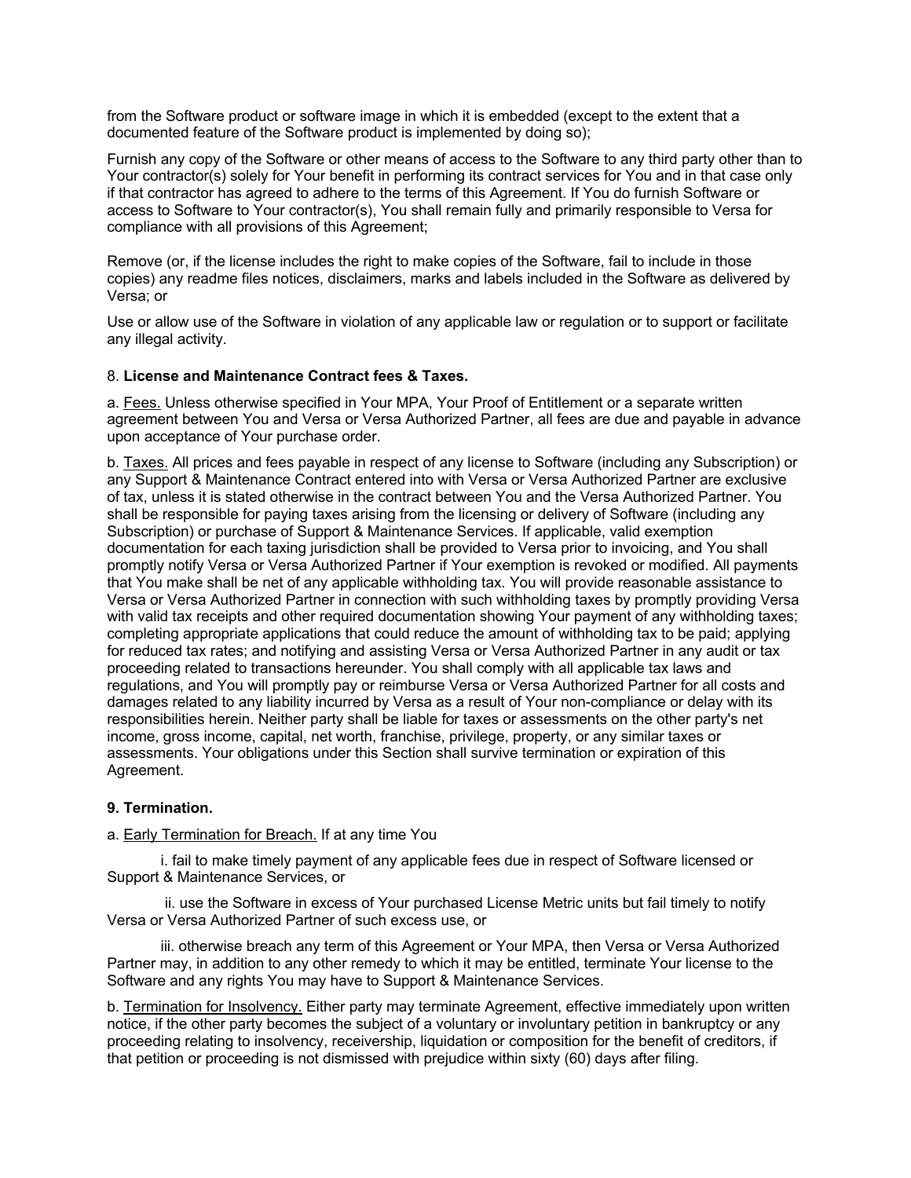from the Software product or software image in which it is embedded (except to the extent that a documented feature of the Software product is implemented by doing so);

Furnish any copy of the Software or other means of access to the Software to any third party other than to Your contractor(s) solely for Your benefit in performing its contract services for You and in that case only if that contractor has agreed to adhere to the terms of this Agreement. If You do furnish Software or access to Software to Your contractor(s), You shall remain fully and primarily responsible to Versa for compliance with all provisions of this Agreement;

Remove (or, if the license includes the right to make copies of the Software, fail to include in those copies) any readme files notices, disclaimers, marks and labels included in the Software as delivered by Versa; or

Use or allow use of the Software in violation of any applicable law or regulation or to support or facilitate any illegal activity.

### 8. **License and Maintenance Contract fees & Taxes.**

a. Fees. Unless otherwise specified in Your MPA, Your Proof of Entitlement or a separate written agreement between You and Versa or Versa Authorized Partner, all fees are due and payable in advance upon acceptance of Your purchase order.

b. Taxes. All prices and fees payable in respect of any license to Software (including any Subscription) or any Support & Maintenance Contract entered into with Versa or Versa Authorized Partner are exclusive of tax, unless it is stated otherwise in the contract between You and the Versa Authorized Partner. You shall be responsible for paying taxes arising from the licensing or delivery of Software (including any Subscription) or purchase of Support & Maintenance Services. If applicable, valid exemption documentation for each taxing jurisdiction shall be provided to Versa prior to invoicing, and You shall promptly notify Versa or Versa Authorized Partner if Your exemption is revoked or modified. All payments that You make shall be net of any applicable withholding tax. You will provide reasonable assistance to Versa or Versa Authorized Partner in connection with such withholding taxes by promptly providing Versa with valid tax receipts and other required documentation showing Your payment of any withholding taxes; completing appropriate applications that could reduce the amount of withholding tax to be paid; applying for reduced tax rates; and notifying and assisting Versa or Versa Authorized Partner in any audit or tax proceeding related to transactions hereunder. You shall comply with all applicable tax laws and regulations, and You will promptly pay or reimburse Versa or Versa Authorized Partner for all costs and damages related to any liability incurred by Versa as a result of Your non-compliance or delay with its responsibilities herein. Neither party shall be liable for taxes or assessments on the other party's net income, gross income, capital, net worth, franchise, privilege, property, or any similar taxes or assessments. Your obligations under this Section shall survive termination or expiration of this Agreement.

#### **9. Termination.**

a. Early Termination for Breach. If at any time You

i. fail to make timely payment of any applicable fees due in respect of Software licensed or Support & Maintenance Services, or

ii. use the Software in excess of Your purchased License Metric units but fail timely to notify Versa or Versa Authorized Partner of such excess use, or

iii. otherwise breach any term of this Agreement or Your MPA, then Versa or Versa Authorized Partner may, in addition to any other remedy to which it may be entitled, terminate Your license to the Software and any rights You may have to Support & Maintenance Services.

b. Termination for Insolvency. Either party may terminate Agreement, effective immediately upon written notice, if the other party becomes the subject of a voluntary or involuntary petition in bankruptcy or any proceeding relating to insolvency, receivership, liquidation or composition for the benefit of creditors, if that petition or proceeding is not dismissed with prejudice within sixty (60) days after filing.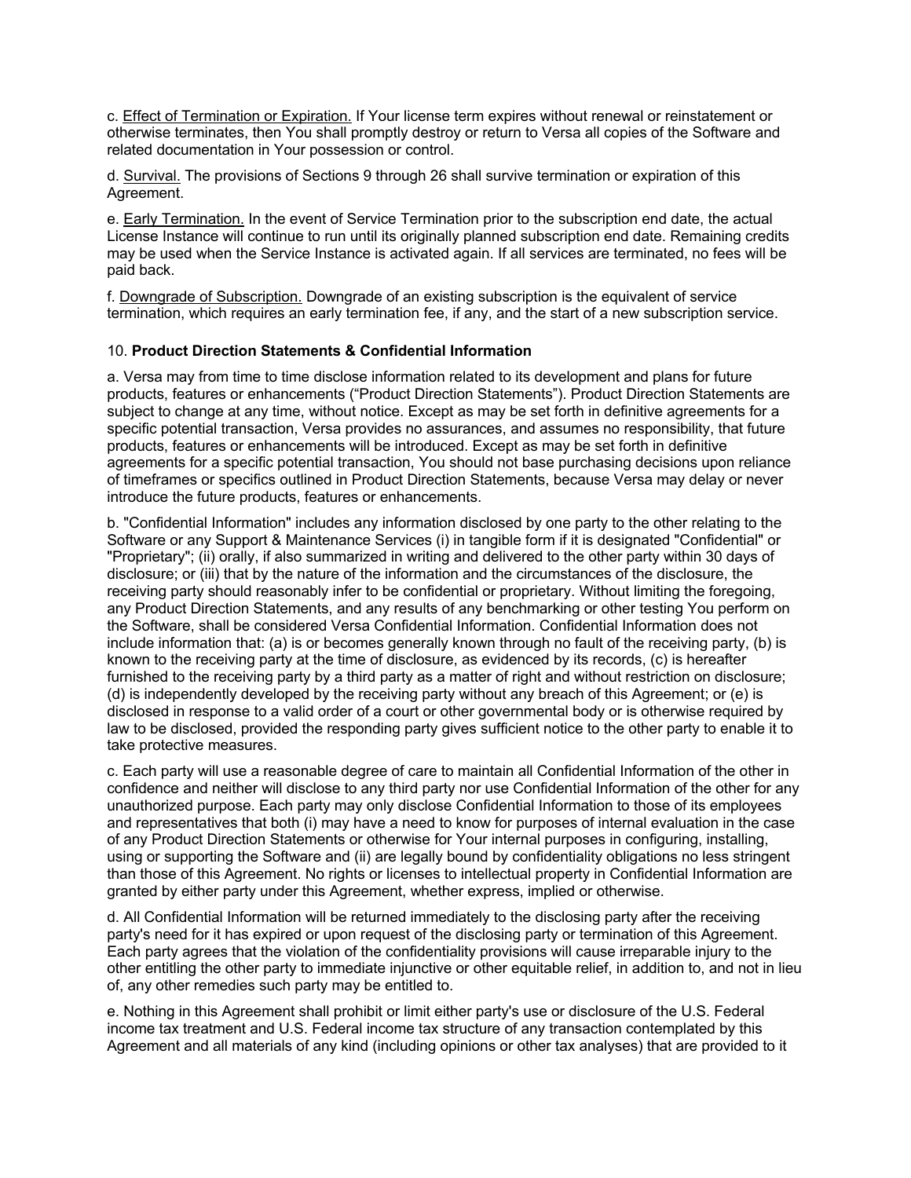c. Effect of Termination or Expiration. If Your license term expires without renewal or reinstatement or otherwise terminates, then You shall promptly destroy or return to Versa all copies of the Software and related documentation in Your possession or control.

d. Survival. The provisions of Sections 9 through 26 shall survive termination or expiration of this Agreement.

e. Early Termination. In the event of Service Termination prior to the subscription end date, the actual License Instance will continue to run until its originally planned subscription end date. Remaining credits may be used when the Service Instance is activated again. If all services are terminated, no fees will be paid back.

f. Downgrade of Subscription. Downgrade of an existing subscription is the equivalent of service termination, which requires an early termination fee, if any, and the start of a new subscription service.

# 10. **Product Direction Statements & Confidential Information**

a. Versa may from time to time disclose information related to its development and plans for future products, features or enhancements ("Product Direction Statements"). Product Direction Statements are subject to change at any time, without notice. Except as may be set forth in definitive agreements for a specific potential transaction, Versa provides no assurances, and assumes no responsibility, that future products, features or enhancements will be introduced. Except as may be set forth in definitive agreements for a specific potential transaction, You should not base purchasing decisions upon reliance of timeframes or specifics outlined in Product Direction Statements, because Versa may delay or never introduce the future products, features or enhancements.

b. "Confidential Information" includes any information disclosed by one party to the other relating to the Software or any Support & Maintenance Services (i) in tangible form if it is designated "Confidential" or "Proprietary"; (ii) orally, if also summarized in writing and delivered to the other party within 30 days of disclosure; or (iii) that by the nature of the information and the circumstances of the disclosure, the receiving party should reasonably infer to be confidential or proprietary. Without limiting the foregoing, any Product Direction Statements, and any results of any benchmarking or other testing You perform on the Software, shall be considered Versa Confidential Information. Confidential Information does not include information that: (a) is or becomes generally known through no fault of the receiving party, (b) is known to the receiving party at the time of disclosure, as evidenced by its records, (c) is hereafter furnished to the receiving party by a third party as a matter of right and without restriction on disclosure; (d) is independently developed by the receiving party without any breach of this Agreement; or (e) is disclosed in response to a valid order of a court or other governmental body or is otherwise required by law to be disclosed, provided the responding party gives sufficient notice to the other party to enable it to take protective measures.

c. Each party will use a reasonable degree of care to maintain all Confidential Information of the other in confidence and neither will disclose to any third party nor use Confidential Information of the other for any unauthorized purpose. Each party may only disclose Confidential Information to those of its employees and representatives that both (i) may have a need to know for purposes of internal evaluation in the case of any Product Direction Statements or otherwise for Your internal purposes in configuring, installing, using or supporting the Software and (ii) are legally bound by confidentiality obligations no less stringent than those of this Agreement. No rights or licenses to intellectual property in Confidential Information are granted by either party under this Agreement, whether express, implied or otherwise.

d. All Confidential Information will be returned immediately to the disclosing party after the receiving party's need for it has expired or upon request of the disclosing party or termination of this Agreement. Each party agrees that the violation of the confidentiality provisions will cause irreparable injury to the other entitling the other party to immediate injunctive or other equitable relief, in addition to, and not in lieu of, any other remedies such party may be entitled to.

e. Nothing in this Agreement shall prohibit or limit either party's use or disclosure of the U.S. Federal income tax treatment and U.S. Federal income tax structure of any transaction contemplated by this Agreement and all materials of any kind (including opinions or other tax analyses) that are provided to it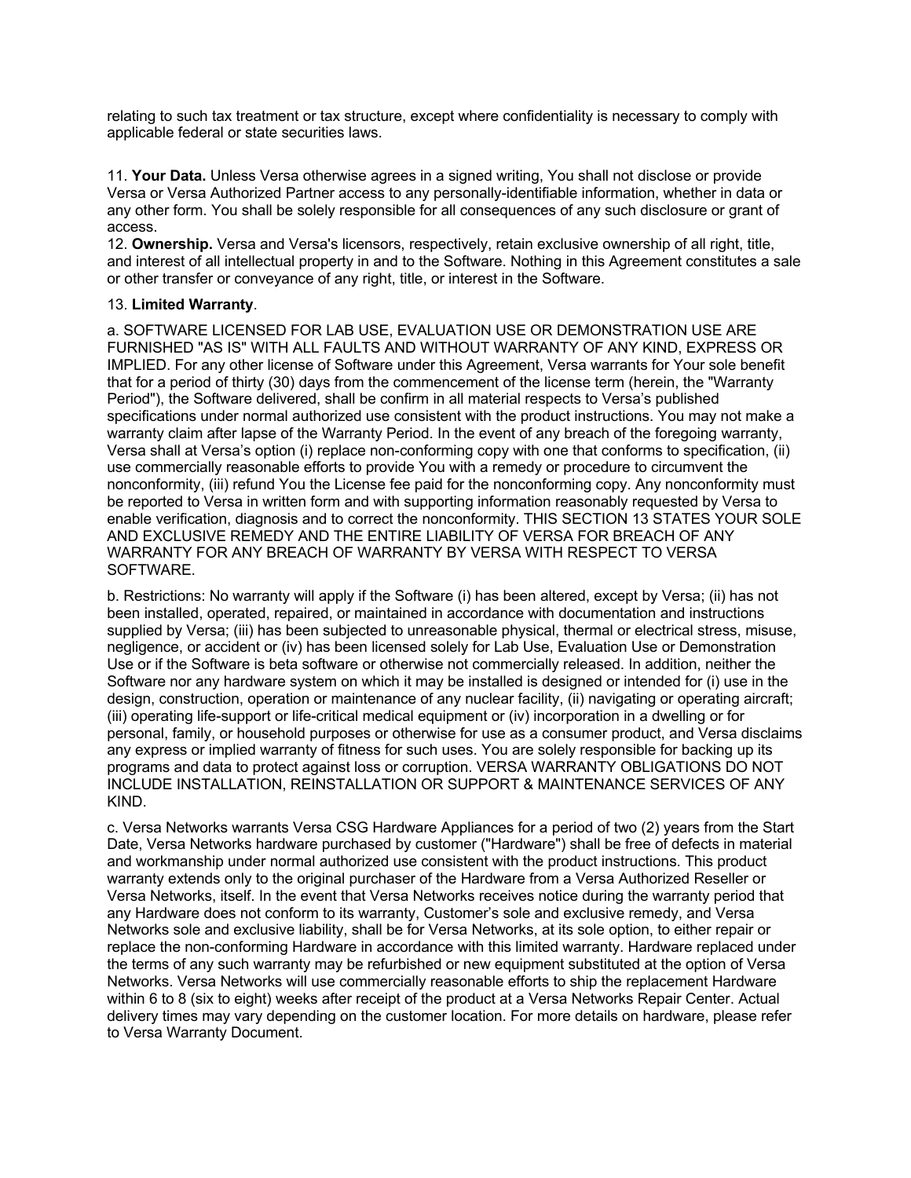relating to such tax treatment or tax structure, except where confidentiality is necessary to comply with applicable federal or state securities laws.

11. **Your Data.** Unless Versa otherwise agrees in a signed writing, You shall not disclose or provide Versa or Versa Authorized Partner access to any personally-identifiable information, whether in data or any other form. You shall be solely responsible for all consequences of any such disclosure or grant of access.

12. **Ownership.** Versa and Versa's licensors, respectively, retain exclusive ownership of all right, title, and interest of all intellectual property in and to the Software. Nothing in this Agreement constitutes a sale or other transfer or conveyance of any right, title, or interest in the Software.

### 13. **Limited Warranty**.

a. SOFTWARE LICENSED FOR LAB USE, EVALUATION USE OR DEMONSTRATION USE ARE FURNISHED "AS IS" WITH ALL FAULTS AND WITHOUT WARRANTY OF ANY KIND, EXPRESS OR IMPLIED. For any other license of Software under this Agreement, Versa warrants for Your sole benefit that for a period of thirty (30) days from the commencement of the license term (herein, the "Warranty Period"), the Software delivered, shall be confirm in all material respects to Versa's published specifications under normal authorized use consistent with the product instructions. You may not make a warranty claim after lapse of the Warranty Period. In the event of any breach of the foregoing warranty, Versa shall at Versa's option (i) replace non-conforming copy with one that conforms to specification, (ii) use commercially reasonable efforts to provide You with a remedy or procedure to circumvent the nonconformity, (iii) refund You the License fee paid for the nonconforming copy. Any nonconformity must be reported to Versa in written form and with supporting information reasonably requested by Versa to enable verification, diagnosis and to correct the nonconformity. THIS SECTION 13 STATES YOUR SOLE AND EXCLUSIVE REMEDY AND THE ENTIRE LIABILITY OF VERSA FOR BREACH OF ANY WARRANTY FOR ANY BREACH OF WARRANTY BY VERSA WITH RESPECT TO VERSA SOFTWARE.

b. Restrictions: No warranty will apply if the Software (i) has been altered, except by Versa; (ii) has not been installed, operated, repaired, or maintained in accordance with documentation and instructions supplied by Versa; (iii) has been subjected to unreasonable physical, thermal or electrical stress, misuse, negligence, or accident or (iv) has been licensed solely for Lab Use, Evaluation Use or Demonstration Use or if the Software is beta software or otherwise not commercially released. In addition, neither the Software nor any hardware system on which it may be installed is designed or intended for (i) use in the design, construction, operation or maintenance of any nuclear facility, (ii) navigating or operating aircraft; (iii) operating life-support or life-critical medical equipment or (iv) incorporation in a dwelling or for personal, family, or household purposes or otherwise for use as a consumer product, and Versa disclaims any express or implied warranty of fitness for such uses. You are solely responsible for backing up its programs and data to protect against loss or corruption. VERSA WARRANTY OBLIGATIONS DO NOT INCLUDE INSTALLATION, REINSTALLATION OR SUPPORT & MAINTENANCE SERVICES OF ANY KIND.

c. Versa Networks warrants Versa CSG Hardware Appliances for a period of two (2) years from the Start Date, Versa Networks hardware purchased by customer ("Hardware") shall be free of defects in material and workmanship under normal authorized use consistent with the product instructions. This product warranty extends only to the original purchaser of the Hardware from a Versa Authorized Reseller or Versa Networks, itself. In the event that Versa Networks receives notice during the warranty period that any Hardware does not conform to its warranty, Customer's sole and exclusive remedy, and Versa Networks sole and exclusive liability, shall be for Versa Networks, at its sole option, to either repair or replace the non-conforming Hardware in accordance with this limited warranty. Hardware replaced under the terms of any such warranty may be refurbished or new equipment substituted at the option of Versa Networks. Versa Networks will use commercially reasonable efforts to ship the replacement Hardware within 6 to 8 (six to eight) weeks after receipt of the product at a Versa Networks Repair Center. Actual delivery times may vary depending on the customer location. For more details on hardware, please refer to Versa Warranty Document.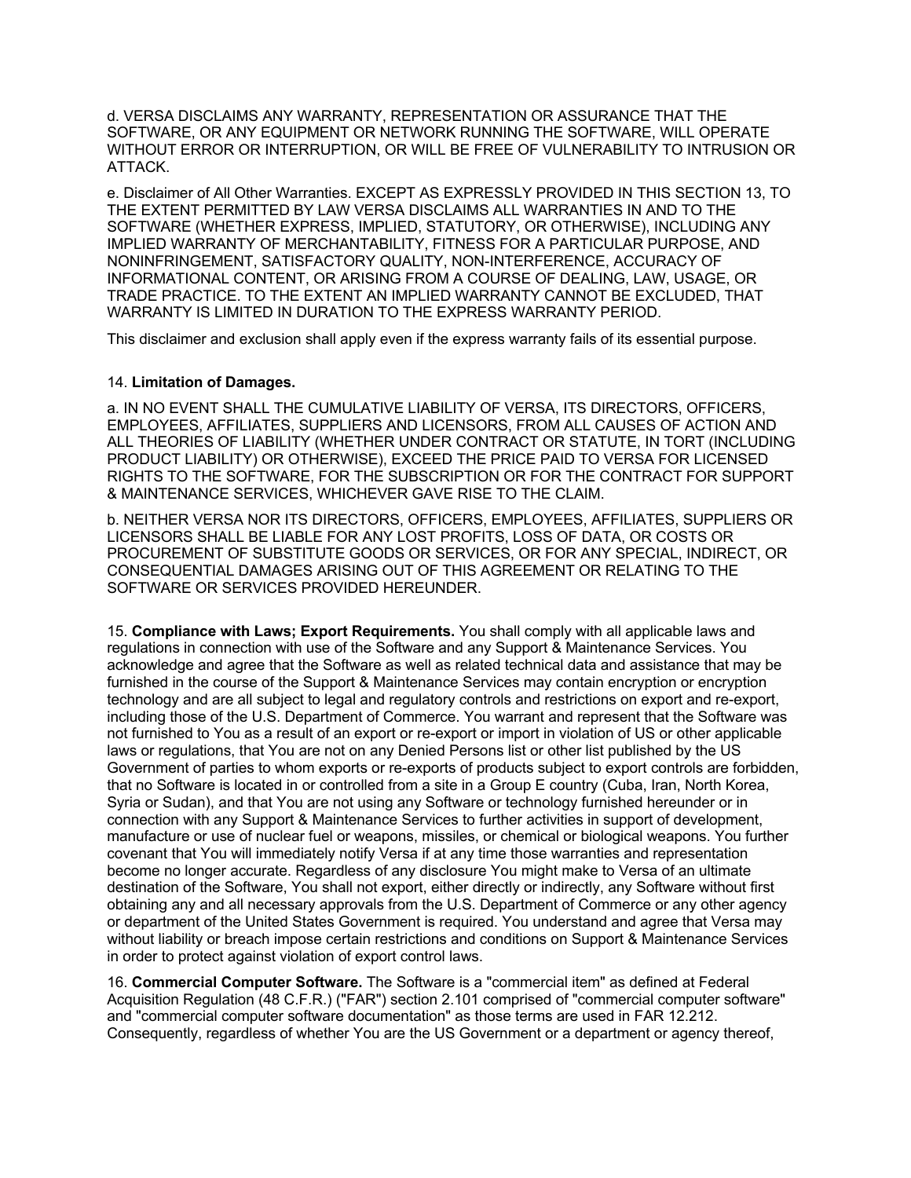d. VERSA DISCLAIMS ANY WARRANTY, REPRESENTATION OR ASSURANCE THAT THE SOFTWARE, OR ANY EQUIPMENT OR NETWORK RUNNING THE SOFTWARE, WILL OPERATE WITHOUT ERROR OR INTERRUPTION, OR WILL BE FREE OF VULNERABILITY TO INTRUSION OR ATTACK.

e. Disclaimer of All Other Warranties. EXCEPT AS EXPRESSLY PROVIDED IN THIS SECTION 13, TO THE EXTENT PERMITTED BY LAW VERSA DISCLAIMS ALL WARRANTIES IN AND TO THE SOFTWARE (WHETHER EXPRESS, IMPLIED, STATUTORY, OR OTHERWISE), INCLUDING ANY IMPLIED WARRANTY OF MERCHANTABILITY, FITNESS FOR A PARTICULAR PURPOSE, AND NONINFRINGEMENT, SATISFACTORY QUALITY, NON-INTERFERENCE, ACCURACY OF INFORMATIONAL CONTENT, OR ARISING FROM A COURSE OF DEALING, LAW, USAGE, OR TRADE PRACTICE. TO THE EXTENT AN IMPLIED WARRANTY CANNOT BE EXCLUDED, THAT WARRANTY IS LIMITED IN DURATION TO THE EXPRESS WARRANTY PERIOD.

This disclaimer and exclusion shall apply even if the express warranty fails of its essential purpose.

### 14. **Limitation of Damages.**

a. IN NO EVENT SHALL THE CUMULATIVE LIABILITY OF VERSA, ITS DIRECTORS, OFFICERS, EMPLOYEES, AFFILIATES, SUPPLIERS AND LICENSORS, FROM ALL CAUSES OF ACTION AND ALL THEORIES OF LIABILITY (WHETHER UNDER CONTRACT OR STATUTE, IN TORT (INCLUDING PRODUCT LIABILITY) OR OTHERWISE), EXCEED THE PRICE PAID TO VERSA FOR LICENSED RIGHTS TO THE SOFTWARE, FOR THE SUBSCRIPTION OR FOR THE CONTRACT FOR SUPPORT & MAINTENANCE SERVICES, WHICHEVER GAVE RISE TO THE CLAIM.

b. NEITHER VERSA NOR ITS DIRECTORS, OFFICERS, EMPLOYEES, AFFILIATES, SUPPLIERS OR LICENSORS SHALL BE LIABLE FOR ANY LOST PROFITS, LOSS OF DATA, OR COSTS OR PROCUREMENT OF SUBSTITUTE GOODS OR SERVICES, OR FOR ANY SPECIAL, INDIRECT, OR CONSEQUENTIAL DAMAGES ARISING OUT OF THIS AGREEMENT OR RELATING TO THE SOFTWARE OR SERVICES PROVIDED HEREUNDER.

15. **Compliance with Laws; Export Requirements.** You shall comply with all applicable laws and regulations in connection with use of the Software and any Support & Maintenance Services. You acknowledge and agree that the Software as well as related technical data and assistance that may be furnished in the course of the Support & Maintenance Services may contain encryption or encryption technology and are all subject to legal and regulatory controls and restrictions on export and re-export, including those of the U.S. Department of Commerce. You warrant and represent that the Software was not furnished to You as a result of an export or re-export or import in violation of US or other applicable laws or regulations, that You are not on any Denied Persons list or other list published by the US Government of parties to whom exports or re-exports of products subject to export controls are forbidden, that no Software is located in or controlled from a site in a Group E country (Cuba, Iran, North Korea, Syria or Sudan), and that You are not using any Software or technology furnished hereunder or in connection with any Support & Maintenance Services to further activities in support of development, manufacture or use of nuclear fuel or weapons, missiles, or chemical or biological weapons. You further covenant that You will immediately notify Versa if at any time those warranties and representation become no longer accurate. Regardless of any disclosure You might make to Versa of an ultimate destination of the Software, You shall not export, either directly or indirectly, any Software without first obtaining any and all necessary approvals from the U.S. Department of Commerce or any other agency or department of the United States Government is required. You understand and agree that Versa may without liability or breach impose certain restrictions and conditions on Support & Maintenance Services in order to protect against violation of export control laws.

16. **Commercial Computer Software.** The Software is a "commercial item" as defined at Federal Acquisition Regulation (48 C.F.R.) ("FAR") section 2.101 comprised of "commercial computer software" and "commercial computer software documentation" as those terms are used in FAR 12.212. Consequently, regardless of whether You are the US Government or a department or agency thereof,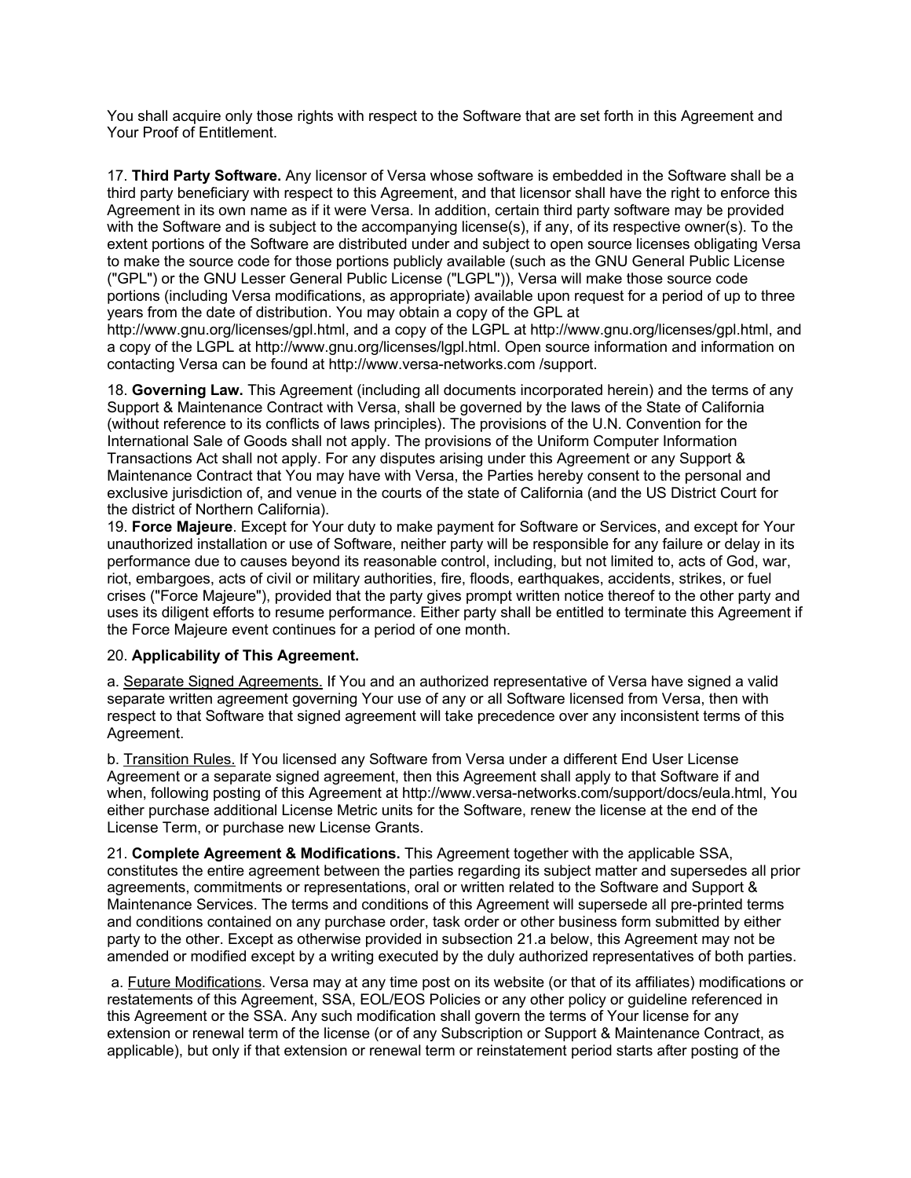You shall acquire only those rights with respect to the Software that are set forth in this Agreement and Your Proof of Entitlement.

17. **Third Party Software.** Any licensor of Versa whose software is embedded in the Software shall be a third party beneficiary with respect to this Agreement, and that licensor shall have the right to enforce this Agreement in its own name as if it were Versa. In addition, certain third party software may be provided with the Software and is subject to the accompanying license(s), if any, of its respective owner(s). To the extent portions of the Software are distributed under and subject to open source licenses obligating Versa to make the source code for those portions publicly available (such as the GNU General Public License ("GPL") or the GNU Lesser General Public License ("LGPL")), Versa will make those source code portions (including Versa modifications, as appropriate) available upon request for a period of up to three years from the date of distribution. You may obtain a copy of the GPL at

http://www.gnu.org/licenses/gpl.html, and a copy of the LGPL at http://www.gnu.org/licenses/gpl.html, and a copy of the LGPL at http://www.gnu.org/licenses/lgpl.html. Open source information and information on contacting Versa can be found at http://www.versa-networks.com /support.

18. **Governing Law.** This Agreement (including all documents incorporated herein) and the terms of any Support & Maintenance Contract with Versa, shall be governed by the laws of the State of California (without reference to its conflicts of laws principles). The provisions of the U.N. Convention for the International Sale of Goods shall not apply. The provisions of the Uniform Computer Information Transactions Act shall not apply. For any disputes arising under this Agreement or any Support & Maintenance Contract that You may have with Versa, the Parties hereby consent to the personal and exclusive jurisdiction of, and venue in the courts of the state of California (and the US District Court for the district of Northern California).

19. **Force Majeure**. Except for Your duty to make payment for Software or Services, and except for Your unauthorized installation or use of Software, neither party will be responsible for any failure or delay in its performance due to causes beyond its reasonable control, including, but not limited to, acts of God, war, riot, embargoes, acts of civil or military authorities, fire, floods, earthquakes, accidents, strikes, or fuel crises ("Force Majeure"), provided that the party gives prompt written notice thereof to the other party and uses its diligent efforts to resume performance. Either party shall be entitled to terminate this Agreement if the Force Majeure event continues for a period of one month.

### 20. **Applicability of This Agreement.**

a. Separate Signed Agreements. If You and an authorized representative of Versa have signed a valid separate written agreement governing Your use of any or all Software licensed from Versa, then with respect to that Software that signed agreement will take precedence over any inconsistent terms of this Agreement.

b. Transition Rules. If You licensed any Software from Versa under a different End User License Agreement or a separate signed agreement, then this Agreement shall apply to that Software if and when, following posting of this Agreement at http://www.versa-networks.com/support/docs/eula.html, You either purchase additional License Metric units for the Software, renew the license at the end of the License Term, or purchase new License Grants.

21. **Complete Agreement & Modifications.** This Agreement together with the applicable SSA, constitutes the entire agreement between the parties regarding its subject matter and supersedes all prior agreements, commitments or representations, oral or written related to the Software and Support & Maintenance Services. The terms and conditions of this Agreement will supersede all pre-printed terms and conditions contained on any purchase order, task order or other business form submitted by either party to the other. Except as otherwise provided in subsection 21.a below, this Agreement may not be amended or modified except by a writing executed by the duly authorized representatives of both parties.

a. Future Modifications. Versa may at any time post on its website (or that of its affiliates) modifications or restatements of this Agreement, SSA, EOL/EOS Policies or any other policy or guideline referenced in this Agreement or the SSA. Any such modification shall govern the terms of Your license for any extension or renewal term of the license (or of any Subscription or Support & Maintenance Contract, as applicable), but only if that extension or renewal term or reinstatement period starts after posting of the